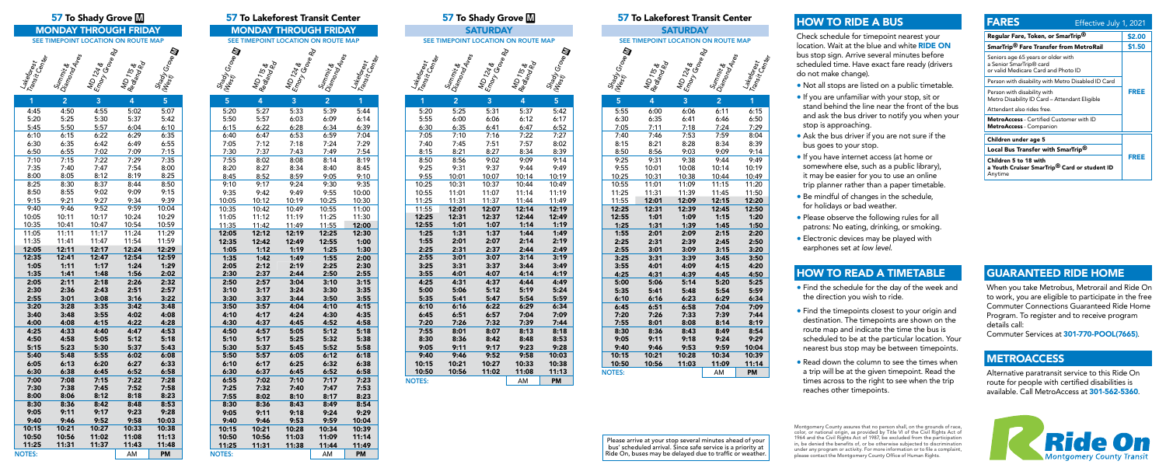### 57 To Shady Grove  $$

**MONDAY THROUGH FRIDAY** SEE TIMEPOINT LOCATION ON ROUTE MAP

| Transit Center<br>Lakeforest | Diamond Aves<br>Summit & | MD 124 &<br>Emory Gae<br>Cro <sub>be Rd</sub> | MD <sub>115 &amp;</sub><br>Redjand Rd | Shady Grove M<br>$\mathscr{U}_{\mathfrak{G}_{\mathcal{S}^{\ast}_{\ell}}}$ |
|------------------------------|--------------------------|-----------------------------------------------|---------------------------------------|---------------------------------------------------------------------------|
|                              |                          |                                               |                                       |                                                                           |



NOTES: NOTES: AM PM  $\frac{9:03}{9:38}$ 9:25 9:31 9:38 9:44 9:49 10:01 10:08 10:31 10:38 11:01 11:09 11:31 11:39 12:01 12:09 12:31 12:39 1:01 1:09 1:31 1:39 2:01 2:09 2:31 2:39  $\frac{3:01}{3:31}$   $\frac{3:09}{3:39}$ 3:31 4:01 4:09 4:31 4:39 5:06 5:14 5:35 5:41 5:48 5:54 5:59  $\begin{array}{@{}c@{\hspace{1em}}c@{\hspace{1em}}c@{\hspace{1em}}}\n 6:16 \quad \text{\hspace{1em}}6:23 \\
\hline\n 6:51 \quad \text{\hspace{1em}}6:58\n \end{array}$  $6:58$ <br> $7:33$  $7:26$ 8:01 8:08 8:36 8:43 9:11 9:18 9:46 9:53<br>10:21 10:28  $10:28$ 10:56 11:03



Please arrive at your stop several minutes ahead of your bus' scheduled arrival. Since safe service is a priority at Ride On, buses may be delayed due to traffic or weather.

## Lakeforest Transit Center

| 1             | $\overline{\mathbf{c}}$ | 3            | 4            | 5            |
|---------------|-------------------------|--------------|--------------|--------------|
| 4:45          | 4:50                    | 4:55         | 5:02         | 5:07         |
| 5:20          | 5:25                    | 5:30         | 5:37         | 5:42         |
| 5:45          | 5:50                    | 5:57         | 6:04         | 6:10         |
| 6:10          | 6:15                    | 6:22         | 6:29         | 6:35         |
| 6:30          | 6:35                    | 6:42         | 6:49         | 6:55         |
| 6:50          | 6:55                    | 7:02         | 7:09         | 7:15         |
| 7:10          | 7:15                    | 7:22         | 7:29         | 7:35         |
| 7:35          | 7:40                    | 7:47         | 7:54         | 8:00         |
| 8:00          | 8:05                    | 8:12         | 8:19         | 8:25         |
| 8:25          | 8:30                    | 8:37         | 8:44         | 8:50         |
| 8:50          | 8:55                    | 9:02         | 9:09         | 9:15         |
| 9:15          | 9:21                    | 9:27         | 9:34         | 9:39         |
| 9:40          | 9:46                    | 9:52         | 9:59         | 10:04        |
| 10:05         | 10:11                   | 10:17        | 10:24        | 10:29        |
| 10:35         | 10:41                   | 10:47        | 10:54        | 10:59        |
| 11:05         | 11:11                   | 11:17        | 11:24        | 11:29        |
| 11:35         | 11:41                   | 11:47        | 11:54        | 11:59        |
| 12:05         | 12:11                   | 12:17        | 12:24        | 12:29        |
| 12:35         | 12:41                   | 12:47        | 12:54        | 12:59        |
| 1:05          | 1:11                    | 1:17         | 1:24         | 1:29         |
| 1:35          | 1:41                    | 1:48         | 1:56         | 2:02         |
| 2:05          | 2:11                    | 2:18         | 2:26         | 2:32         |
| 2:30          | 2:36                    | 2:43         | 2:51         | 2:57         |
| 2:55          | 3:01                    | 3:08         | 3:16         | 3:22         |
| 3:20          | 3:28                    | 3:35         | 3:42         | 3:48         |
| 3:40<br>4:00  | 3:48<br>4:08            | 3:55<br>4:15 | 4:02<br>4:22 | 4:08<br>4:28 |
| 4:25          | 4:33                    | 4:40         | 4:47         | 4:53         |
| 4:50          | 4:58                    | 5:05         | 5:12         | 5:18         |
| 5:15          | 5:23                    | 5:30         | 5:37         | 5:43         |
| 5:40          | 5:48                    | 5:55         | 6:02         | 6:08         |
| 6:05          | 6:13                    | 6:20         | 6:27         | 6:33         |
| 6:30          | 6:38                    | 6:45         | 6:52         | 6:58         |
| 7:00          | 7:08                    | 7:15         | 7:22         | 7:28         |
| 7:30          | 7:38                    | 7:45         | 7:52         | 7:58         |
| 8:00          | 8:06                    | 8:12         | 8:18         | 8:23         |
| 8:30          | 8:36                    | 8:42         | 8:48         | 8:53         |
| 9:05          | 9:11                    | 9:17         | 9:23         | 9:28         |
| 9:40          | 9:46                    | 9:52         | 9:58         | 10:03        |
| 10:15         | 10:21                   | 10:27        | 10:33        | 10:38        |
| 10:50         | 10:56                   | 11:02        | 11:08        | 11:13        |
| 11:25         | 11:31                   | 11:37        | 11:43        | 11:48        |
| <b>NOTES:</b> |                         |              | AM           | <b>PM</b>    |

|                        | 57 To Shady Grove M                 | <b>57 To</b>                        |                |                    |                |
|------------------------|-------------------------------------|-------------------------------------|----------------|--------------------|----------------|
|                        |                                     | <b>SATURDAY</b>                     |                |                    |                |
|                        | SEE TIMEPOINT LOCATION ON ROUTE MAP |                                     | <b>SEE TIN</b> |                    |                |
| Lakes <sub>Orest</sub> | Summit &<br>Diamono Aves            | <b>4</b> Emory Grove Rd<br>MD 124 & |                | Shady Grove III    |                |
| $\overline{1}$         | $\overline{2}$                      | $\overline{3}$                      | 4              | 5                  | $\overline{5}$ |
| 5:20                   | 5:25                                | 5:31                                | 5:37           | 5:42               | 5:55           |
| 5:55                   | 6:00                                | 6:06                                | 6:12           | 6:17               | 6:30           |
| 6:30                   | 6:35                                | 6:41                                | 6:47           | 6:52               | 7:05           |
| 7:05                   | 7:10                                | 7:16                                | 7:22           | 7:27               | 7:40           |
| 7:40                   | 7:45                                | 7:51                                | 7:57           | 8:02               | 8:15           |
| 8:15                   | 8:21                                | 8:27                                | 8:34           | 8:39               | 8:50           |
| 8:50                   | 8:56                                | 9:02                                | 9:09           | 9:14               | 9:25           |
| 9:25                   | 9:31                                | 9:37                                | 9:44           | 9:49               | 9:55           |
| 9:55                   | 10:01                               | 10:07                               | 10:14          | 10:19              | 10:25          |
| 10:25                  | 10:31                               | 10:37                               | 10:44          | 10:49              | 10:55          |
| 10:55                  | 11:01                               | 11:07                               | 11:14          | 11:19              | 11:25          |
| 11:25                  | 11:31                               | 11:37                               | 11:44          | 11:49              | 11:55          |
| 11:55                  | 12:01                               | 12:07                               | 12:14          | 12:19              | 12:25          |
| 12:25                  | 12:31                               | 12:37                               | 12:44          | 12:49              | 12:55          |
| 12:55                  | 1:01                                | 1:07                                | 1:14           | 1:19               | 1:25           |
| 1:25                   | 1:31                                | 1:37                                | 1:44           | 1:49               | 1:55           |
| 1:55                   | 2:01                                | 2:07                                | 2:14           | 2:19               | 2:25           |
| 2:25                   | 2:31                                | 2:37                                | 2:44           | 2:49               | 2:55           |
| 2:55                   | 3:01                                | 3:07                                | 3:14           | 3:19               | 3:25           |
| 3:25                   | 3:31                                | 3:37                                | 3:44           | 3:49               | 3:55           |
| 3:55                   | 4:01                                | 4:07                                | 4:14           | 4:19               | 4:25           |
| 4:25                   | 4:31                                | 4:37                                | 4:44           | 4:49               | 5:00           |
| 5:00                   | 5:06                                | 5:12                                | 5:19           | 5:24               | 5:35           |
| 5:35                   | 5:41                                | 5:47                                | 5:54           | 5:59               | 6:10           |
| 6:10                   | 6:16                                | 6:22                                | 6:29           | 6:34               | 6:45           |
| 6:45                   | 6:51                                | 6:57                                | 7:04           | 7:09               | 7:20           |
| 7:20                   | 7:26                                | 7:32                                | 7:39           | 7:44               | 7:55           |
| 7:55                   | 8:01                                | 8:07                                | 8:13           | 8:18               | 8:30           |
| 8:30                   | 8:36                                | 8:42                                | 8:48           | 8:53               | 9:05           |
| 9:05                   | 9:11                                | 9:17                                | 9:23           | 9:28               | 9:40           |
| 9:40                   | 9:46                                | 9:52                                | 9:58           | 10:03              | 10:15          |
| 10:15                  | 10:21                               | 10:27                               | 10:33          | 10:38              | 10:50          |
| 10:50<br><b>NOTES:</b> | 10:56                               | 11:02                               | 11:08<br>AM    | 11:13<br><b>PM</b> | <b>NOTES:</b>  |

**SATURDAY SEPOINT LOCATION ON ROUTE MAP** 

|                              |                                     |                                             | 57 To Lakeforest Transit Center |                                                         |  |  |
|------------------------------|-------------------------------------|---------------------------------------------|---------------------------------|---------------------------------------------------------|--|--|
| <b>MONDAY THROUGH FRIDAY</b> |                                     |                                             |                                 |                                                         |  |  |
|                              | SEE TIMEPOINT LOCATION ON ROUTE MAP |                                             |                                 |                                                         |  |  |
|                              |                                     |                                             |                                 | <b>Lakerbest</b><br>Tansit Cest<br><i>Tansit Center</i> |  |  |
|                              |                                     |                                             |                                 |                                                         |  |  |
|                              |                                     |                                             |                                 |                                                         |  |  |
|                              |                                     |                                             |                                 |                                                         |  |  |
|                              |                                     |                                             |                                 |                                                         |  |  |
| <b>A West Gove D F</b><br>5  | A Redignal Redignal Pro<br>4        | <b>110 129 &amp;</b><br>Emotor Green 2<br>3 | Summit &<br>Dismond Aves F      | 1                                                       |  |  |
|                              |                                     |                                             | $\overline{2}$                  |                                                         |  |  |
| 5:20                         | 5:27                                | 5:33                                        | 5:39                            | 5:44                                                    |  |  |
| 5:50<br>6:15                 | 5:57                                | 6:03<br>6:28                                | 6:09<br>6:34                    | 6:14<br>6:39                                            |  |  |
| 6:40                         | 6:22<br>6:47                        | 6:53                                        | 6:59                            | 7:04                                                    |  |  |
| 7:05                         | 7:12                                | 7:18                                        | 7:24                            | 7:29                                                    |  |  |
| 7:30                         | 7:37                                | 7:43                                        | 7:49                            | 7:54                                                    |  |  |
| 7:55                         | 8:02                                | 8:08                                        | 8:14                            | 8:19                                                    |  |  |
| 8:20                         | 8:27                                | 8:34                                        | 8:40                            | 8:45                                                    |  |  |
| 8:45                         | 8:52                                | 8:59                                        | 9:05                            | 9:10                                                    |  |  |
| 9:10                         | 9:17                                | 9:24                                        | 9:30                            | 9:35                                                    |  |  |
| 9:35                         | 9:42                                | 9:49                                        | 9:55                            | 10:00                                                   |  |  |
| 10:05                        | 10:12                               | 10:19                                       | 10:25                           | 10:30                                                   |  |  |
| 10:35                        | 10:42                               | 10:49                                       | 10:55                           | 11:00                                                   |  |  |
| 11:05                        | 11:12                               | 11:19                                       | 11:25                           | 11:30                                                   |  |  |
| 11:35                        | 11:42                               | 11:49                                       | 11:55                           | 12:00                                                   |  |  |
| 12:05                        | 12:12                               | 12:19                                       | 12:25                           | 12:30                                                   |  |  |
| 12:35                        | 12:42                               | 12:49                                       | 12:55                           | 1:00                                                    |  |  |
| 1:05                         | 1:12                                | 1:19                                        | 1:25                            | 1:30                                                    |  |  |
| 1:35                         | 1:42                                | 1:49                                        | 1:55                            | 2:00                                                    |  |  |
| 2:05                         | 2:12                                | 2:19                                        | 2:25                            | 2:30                                                    |  |  |
| 2:30                         | 2:37                                | 2:44                                        | 2:50                            | 2:55                                                    |  |  |
| 2:50                         | 2:57                                | 3:04                                        | 3:10                            | 3:15                                                    |  |  |
| 3:10                         | 3:17                                | 3:24                                        | 3:30                            | 3:35                                                    |  |  |
| 3:30                         | 3:37                                | 3:44                                        | 3:50                            | 3:55                                                    |  |  |
| 3:50<br>4:10                 | 3:57<br>4:17                        | 4:04<br>4:24                                | 4:10<br>4:30                    | 4:15<br>4:35                                            |  |  |
| 4:30                         | 4:37                                | 4:45                                        | 4:52                            | 4:58                                                    |  |  |
| 4:50                         | 4:57                                | 5:05                                        | 5:12                            | 5:18                                                    |  |  |
| 5:10                         | 5:17                                | 5:25                                        | 5:32                            | 5:38                                                    |  |  |
| 5:30                         | 5:37                                | 5:45                                        | 5:52                            | 5:58                                                    |  |  |
| 5:50                         | 5:57                                | 6:05                                        | 6:12                            | 6:18                                                    |  |  |
| 6:10                         | 6:17                                | 6:25                                        | 6:32                            | 6:38                                                    |  |  |
| 6:30                         | 6:37                                | 6:45                                        | 6:52                            | 6:58                                                    |  |  |
| 6:55                         | 7:02                                | 7:10                                        | 7:17                            | 7:23                                                    |  |  |
| 7:25                         | 7:32                                | 7:40                                        | 7:47                            | 7:53                                                    |  |  |
| 7:55                         | 8:02                                | 8:10                                        | 8:17                            | 8:23                                                    |  |  |
| 8:30                         | 8:36                                | 8:43                                        | 8:49                            | 8:54                                                    |  |  |
| 9:05                         | 9:11                                | 9:18                                        | 9:24                            | 9:29                                                    |  |  |
| 9:40                         | 9:46                                | 9:53                                        | 9:59                            | 10:04                                                   |  |  |
| 10:15                        | 10:21                               | 10:28                                       | 10:34                           | 10:39                                                   |  |  |
| 10:50                        | 10:56                               | 11:03                                       | 11:09                           | 11:14                                                   |  |  |
| 11:25                        | 11:31                               | 11:38                                       | 11:44                           | 11:49                                                   |  |  |
| <b>NOTES:</b>                |                                     |                                             | AM                              | <b>PM</b>                                               |  |  |

| 5    | 4     | 3     | $\overline{2}$ | 1         |
|------|-------|-------|----------------|-----------|
| 5:55 | 6:00  | 6:06  | 6:11           | 6:15      |
| 6:30 | 6:35  | 6:41  | 6:46           | 6:50      |
| 7:05 | 7:11  | 7:18  | 7:24           | 7:29      |
| 7:40 | 7:46  | 7:53  | 7:59           | 8:04      |
| 8:15 | 8:21  | 8:28  | 8:34           | 8:39      |
| 8:50 | 8:56  | 9:03  | 9:09           | 9:14      |
| 9:25 | 9:31  | 9:38  | 9:44           | 9:49      |
| 9:55 | 10:01 | 10:08 | 10:14          | 10:19     |
| 0:25 | 10:31 | 10:38 | 10:44          | 10:49     |
| 0:55 | 11:01 | 11:09 | 11:15          | 11:20     |
| 1:25 | 11:31 | 11:39 | 11:45          | 11:50     |
| 1:55 | 12:01 | 12:09 | 12:15          | 12:20     |
| 2:25 | 12:31 | 12:39 | 12:45          | 12:50     |
| 2:55 | 1:01  | 1:09  | 1:15           | 1:20      |
| 1:25 | 1:31  | 1:39  | 1:45           | 1:50      |
| 1:55 | 2:01  | 2:09  | 2:15           | 2:20      |
| 2:25 | 2:31  | 2:39  | 2:45           | 2:50      |
| 2:55 | 3:01  | 3:09  | 3:15           | 3:20      |
| 3:25 | 3:31  | 3:39  | 3:45           | 3:50      |
| 3:55 | 4:01  | 4:09  | 4:15           | 4:20      |
| 4:25 | 4:31  | 4:39  | 4:45           | 4:50      |
| 5:00 | 5:06  | 5:14  | 5:20           | 5:25      |
| 5:35 | 5:41  | 5:48  | 5:54           | 5:59      |
| 6:10 | 6:16  | 6:23  | 6:29           | 6:34      |
| 6:45 | 6:51  | 6:58  | 7:04           | 7:09      |
| 7:20 | 7:26  | 7:33  | 7:39           | 7:44      |
| 7:55 | 8:01  | 8:08  | 8:14           | 8:19      |
| 8:30 | 8:36  | 8:43  | 8:49           | 8:54      |
| 9:05 | 9:11  | 9:18  | 9:24           | 9:29      |
| 9:40 | 9:46  | 9:53  | 9:59           | 10:04     |
| 0:15 | 10:21 | 10:28 | 10:34          | 10:39     |
| 0:50 | 10:56 | 11:03 | 11:09          | 11:14     |
| ES:  |       |       | AM             | <b>PM</b> |

Montgomery County assures that no person shall, on the grounds of race, color, or national origin, as provided by Title VI of the Civil Rights Act of 1964 and the Civil Rights Act of 1987, be excluded from the participation in, be denied the benefits of, or be otherwise subjected to discrimination under any program or activity. For more information or to file a complaint, please contact the Montgomery County Office of Human Rights.



| <b>FARES</b>                                                                                                     | Effective July 1, 2021 |        |
|------------------------------------------------------------------------------------------------------------------|------------------------|--------|
| Regular Fare, Token, or SmarTrip®                                                                                |                        | \$2.00 |
| SmarTrip <sup>®</sup> Fare Transfer from MetroRail                                                               |                        | \$1.50 |
| Seniors age 65 years or older with<br>a Senior SmarTrip <sup>®</sup> card<br>or valid Medicare Card and Photo ID |                        |        |
| Person with disability with Metro Disabled ID Card                                                               |                        |        |
| Person with disability with<br>Metro Disability ID Card - Attendant Eligible                                     |                        | FREE   |
| Attendant also rides free.                                                                                       |                        |        |
| <b>MetroAccess</b> - Certified Customer with ID<br><b>MetroAccess</b> - Companion                                |                        |        |
| Children under age 5                                                                                             |                        |        |
| Local Bus Transfer with SmarTrip <sup>®</sup>                                                                    |                        |        |
| Children 5 to 18 with<br>a Youth Cruiser SmarTrip <sup>®</sup> Card or student ID                                |                        | FREE   |

Anytime

# HOW TO RIDE A BUS

Check schedule for timepoint nearest your location. Wait at the blue and white RIDE ON bus stop sign. Arrive several minutes before scheduled time. Have exact fare ready (drivers do not make change).

- Not all stops are listed on a public timetable.
- If you are unfamiliar with your stop, sit or stand behind the line near the front of the bus and ask the bus driver to notify you when your stop is approaching.
- Ask the bus driver if you are not sure if the bus goes to your stop.
- If you have internet access (at home or somewhere else, such as a public library), it may be easier for you to use an online trip planner rather than a paper timetable.
- Be mindful of changes in the schedule, for holidays or bad weather.
- Please observe the following rules for all patrons: No eating, drinking, or smoking.
- Electronic devices may be played with earphones set *at low level*.

# GUARANTEED RIDE HOME

When you take Metrobus, Metrorail and Ride On to work, you are eligible to participate in the free Commuter Connections Guaranteed Ride Home Program. To register and to receive program details call:

Commuter Services at 301-770-POOL(7665).

# **METROACCESS**

Alternative paratransit service to this Ride On route for people with certified disabilities is available. Call MetroAccess at 301-562-5360.

# HOW TO READ A TIMETABLE

- Find the schedule for the day of the week and the direction you wish to ride.
- Find the timepoints closest to your origin and destination. The timepoints are shown on the route map and indicate the time the bus is scheduled to be at the particular location. Your nearest bus stop may be between timepoints.
- Read down the column to see the times when a trip will be at the given timepoint. Read the times across to the right to see when the trip reaches other timepoints.